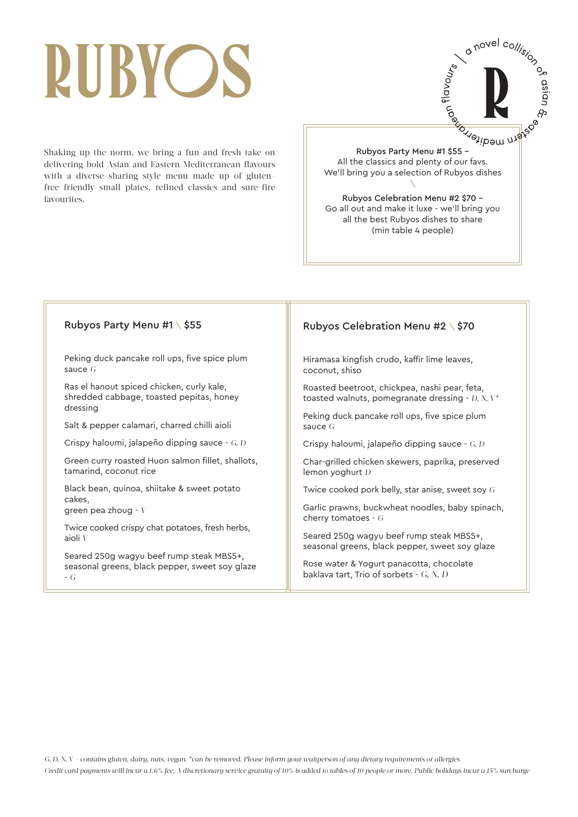## RUBYOS

Shaking up the norm, we bring a fun and fresh take on delivering bold Asian and Eastern Mediterranean flavours with a diverse sharing style menu made up of glutenfree friendly small plates, refined classics and sure-fire favourites.

o novel collision on  $Rubyos Party Menu #1 $55 - \frac{20}{10}$ <br>
Subyos Party Menu #1 \$55 –<br>
Subyos Party Menu #1 \$55 –<br>
Subyos dishe All the classics and plenty of our favs. We'll bring you a selection of Rubyos dishes  $\backslash$ Rubyos Celebration Menu #2 \$70 – Go all out and make it luxe - we'll bring you all the best Rubyos dishes to share (min table 4 people)

#### Rubyos Party Menu #1 \ \$55

Peking duck pancake roll ups, five spice plum sauce *G*

Ras el hanout spiced chicken, curly kale, shredded cabbage, toasted pepitas, honey dressing

Salt & pepper calamari, charred chilli aioli

Crispy haloumi, jalapeño dipping sauce - *G, D*

Green curry roasted Huon salmon fillet, shallots, tamarind, coconut rice

Black bean, quinoa, shiitake & sweet potato cakes, green pea zhoug - *V*

Twice cooked crispy chat potatoes, fresh herbs,

aioli *V*

Seared 250g wagyu beef rump steak MBS5+, seasonal greens, black pepper, sweet soy glaze - *G*

#### Rubyos Celebration Menu #2 \ \$70

Hiramasa kingfish crudo, kaffir lime leaves, coconut, shiso

Roasted beetroot, chickpea, nashi pear, feta, toasted walnuts, pomegranate dressing - *D, N, V\**

Peking duck pancake roll ups, five spice plum sauce *G*

Crispy haloumi, jalapeño dipping sauce - *G, D*

Char-grilled chicken skewers, paprika, preserved lemon yoghurt *D*

Twice cooked pork belly, star anise, sweet soy *G*

Garlic prawns, buckwheat noodles, baby spinach, cherry tomatoes - *G*

Seared 250g wagyu beef rump steak MBS5+, seasonal greens, black pepper, sweet soy glaze

Rose water & Yogurt panacotta, chocolate baklava tart, Trio of sorbets - *G, N, D*

*G, D, N, V – contains gluten, dairy, nuts, vegan. \*can be removed. Please inform your waitperson of any dietary requirements or allergies*

*Credit card payments will incur a 1.6% fee. A discretionary service gratuity of 10% is added to tables of 10 people or more. Public holidays incur a 15% surcharge*